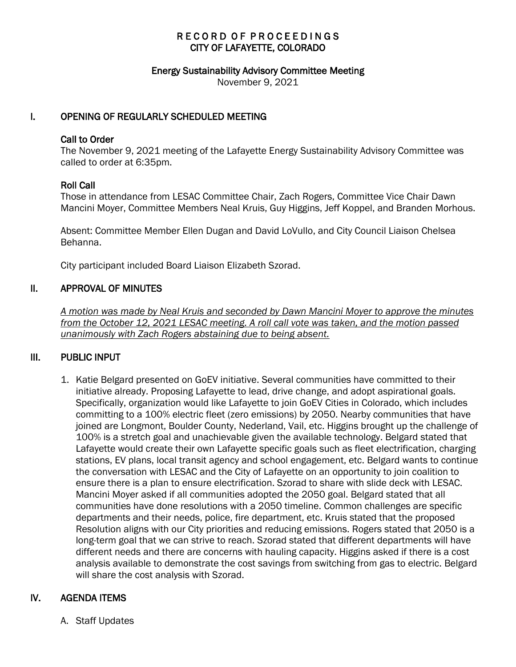# RECORD OF PROCEEDINGS CITY OF LAFAYETTE, COLORADO

#### Energy Sustainability Advisory Committee Meeting

November 9, 2021

### I. OPENING OF REGULARLY SCHEDULED MEETING

#### Call to Order

The November 9, 2021 meeting of the Lafayette Energy Sustainability Advisory Committee was called to order at 6:35pm.

### Roll Call

Those in attendance from LESAC Committee Chair, Zach Rogers, Committee Vice Chair Dawn Mancini Moyer, Committee Members Neal Kruis, Guy Higgins, Jeff Koppel, and Branden Morhous.

Absent: Committee Member Ellen Dugan and David LoVullo, and City Council Liaison Chelsea Behanna.

City participant included Board Liaison Elizabeth Szorad.

### II. APPROVAL OF MINUTES

 *A motion was made by Neal Kruis and seconded by Dawn Mancini Moyer to approve the minutes from the October 12, 2021 LESAC meeting. A roll call vote was taken, and the motion passed unanimously with Zach Rogers abstaining due to being absent.* 

# III. PUBLIC INPUT

1. Katie Belgard presented on GoEV initiative. Several communities have committed to their initiative already. Proposing Lafayette to lead, drive change, and adopt aspirational goals. Specifically, organization would like Lafayette to join GoEV Cities in Colorado, which includes committing to a 100% electric fleet (zero emissions) by 2050. Nearby communities that have joined are Longmont, Boulder County, Nederland, Vail, etc. Higgins brought up the challenge of 100% is a stretch goal and unachievable given the available technology. Belgard stated that Lafayette would create their own Lafayette specific goals such as fleet electrification, charging stations, EV plans, local transit agency and school engagement, etc. Belgard wants to continue the conversation with LESAC and the City of Lafayette on an opportunity to join coalition to ensure there is a plan to ensure electrification. Szorad to share with slide deck with LESAC. Mancini Moyer asked if all communities adopted the 2050 goal. Belgard stated that all communities have done resolutions with a 2050 timeline. Common challenges are specific departments and their needs, police, fire department, etc. Kruis stated that the proposed Resolution aligns with our City priorities and reducing emissions. Rogers stated that 2050 is a long-term goal that we can strive to reach. Szorad stated that different departments will have different needs and there are concerns with hauling capacity. Higgins asked if there is a cost analysis available to demonstrate the cost savings from switching from gas to electric. Belgard will share the cost analysis with Szorad.

# IV. AGENDA ITEMS

A. Staff Updates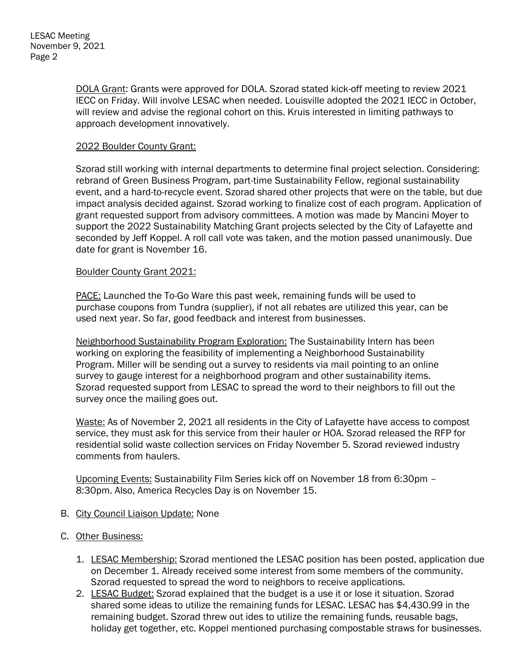DOLA Grant: Grants were approved for DOLA. Szorad stated kick-off meeting to review 2021 IECC on Friday. Will involve LESAC when needed. Louisville adopted the 2021 IECC in October, will review and advise the regional cohort on this. Kruis interested in limiting pathways to approach development innovatively.

### 2022 Boulder County Grant:

Szorad still working with internal departments to determine final project selection. Considering: rebrand of Green Business Program, part-time Sustainability Fellow, regional sustainability event, and a hard-to-recycle event. Szorad shared other projects that were on the table, but due impact analysis decided against. Szorad working to finalize cost of each program. Application of grant requested support from advisory committees. A motion was made by Mancini Moyer to support the 2022 Sustainability Matching Grant projects selected by the City of Lafayette and seconded by Jeff Koppel. A roll call vote was taken, and the motion passed unanimously. Due date for grant is November 16.

### Boulder County Grant 2021:

PACE: Launched the To-Go Ware this past week, remaining funds will be used to purchase coupons from Tundra (supplier), if not all rebates are utilized this year, can be used next year. So far, good feedback and interest from businesses.

Neighborhood Sustainability Program Exploration: The Sustainability Intern has been working on exploring the feasibility of implementing a Neighborhood Sustainability Program. Miller will be sending out a survey to residents via mail pointing to an online survey to gauge interest for a neighborhood program and other sustainability items. Szorad requested support from LESAC to spread the word to their neighbors to fill out the survey once the mailing goes out.

Waste: As of November 2, 2021 all residents in the City of Lafayette have access to compost service, they must ask for this service from their hauler or HOA. Szorad released the RFP for residential solid waste collection services on Friday November 5. Szorad reviewed industry comments from haulers.

Upcoming Events: Sustainability Film Series kick off on November 18 from 6:30pm – 8:30pm. Also, America Recycles Day is on November 15.

- B. City Council Liaison Update: None
- C. Other Business:
	- 1. LESAC Membership: Szorad mentioned the LESAC position has been posted, application due on December 1. Already received some interest from some members of the community. Szorad requested to spread the word to neighbors to receive applications.
	- 2. LESAC Budget: Szorad explained that the budget is a use it or lose it situation. Szorad shared some ideas to utilize the remaining funds for LESAC. LESAC has \$4,430.99 in the remaining budget. Szorad threw out ides to utilize the remaining funds, reusable bags, holiday get together, etc. Koppel mentioned purchasing compostable straws for businesses.